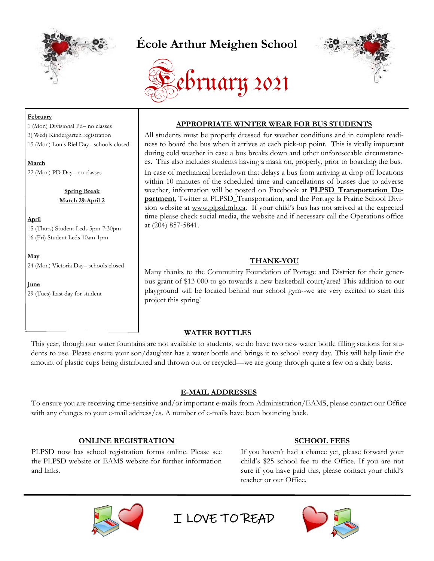

# **École Arthur Meighen School**





#### **February**

1 (Mon) Divisional Pd– no classes 3( Wed) Kindergarten registration 15 (Mon) Louis Riel Day– schools closed

**March** 22 (Mon) PD Day– no classes

> **Spring Break March 29-April 2**

**April**

15 (Thurs) Student Leds 5pm-7:30pm 16 (Fri) Student Leds 10am-1pm

**May** 24 (Mon) Victoria Day– schools closed

**June**  29 (Tues) Last day for student

# **APPROPRIATE WINTER WEAR FOR BUS STUDENTS**

All students must be properly dressed for weather conditions and in complete readiness to board the bus when it arrives at each pick-up point. This is vitally important during cold weather in case a bus breaks down and other unforeseeable circumstances. This also includes students having a mask on, properly, prior to boarding the bus. In case of mechanical breakdown that delays a bus from arriving at drop off locations within 10 minutes of the scheduled time and cancellations of busses due to adverse weather, information will be posted on Facebook at **[PLPSD Transportation De](https://www.facebook.com/PLPSD-Transportation-Department-312982522898341/)[partment](https://www.facebook.com/PLPSD-Transportation-Department-312982522898341/)**, Twitter at PLPSD\_Transportation, and the Portage la Prairie School Division website at [www.plpsd.mb.ca.](http://www.plpsd.mb.ca) If your child's bus has not arrived at the expected time please check social media, the website and if necessary call the Operations office at (204) 857-5841.

# **THANK-YOU**

Many thanks to the Community Foundation of Portage and District for their generous grant of \$13 000 to go towards a new basketball court/area! This addition to our playground will be located behind our school gym--we are very excited to start this project this spring!

# **WATER BOTTLES**

This year, though our water fountains are not available to students, we do have two new water bottle filling stations for students to use. Please ensure your son/daughter has a water bottle and brings it to school every day. This will help limit the amount of plastic cups being distributed and thrown out or recycled—we are going through quite a few on a daily basis.

# **E-MAIL ADDRESSES**

To ensure you are receiving time-sensitive and/or important e-mails from Administration/EAMS, please contact our Office with any changes to your e-mail address/es. A number of e-mails have been bouncing back.

# **ONLINE REGISTRATION**

PLPSD now has school registration forms online. Please see the PLPSD website or EAMS website for further information and links.

#### **SCHOOL FEES**

If you haven't had a chance yet, please forward your child's \$25 school fee to the Office. If you are not sure if you have paid this, please contact your child's teacher or our Office.



I LOVE TO READ

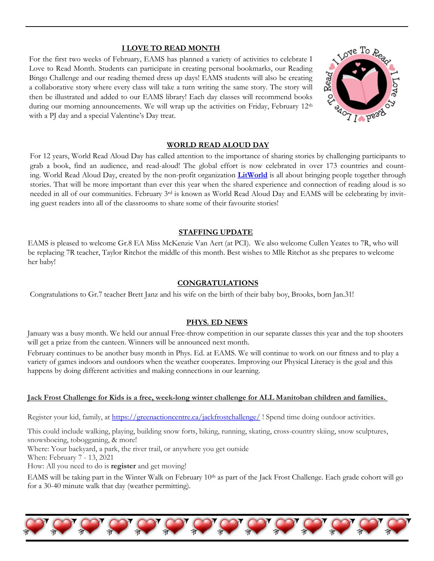### **I LOVE TO READ MONTH**

For the first two weeks of February, EAMS has planned a variety of activities to celebrate I Love to Read Month. Students can participate in creating personal bookmarks, our Reading Bingo Challenge and our reading themed dress up days! EAMS students will also be creating a collaborative story where every class will take a turn writing the same story. The story will then be illustrated and added to our EAMS library! Each day classes will recommend books during our morning announcements. We will wrap up the activities on Friday, February 12<sup>th</sup> with a PJ day and a special Valentine's Day treat.



#### **WORLD READ ALOUD DAY**

For 12 years, World Read Aloud Day has called attention to the importance of sharing stories by challenging participants to grab a book, find an audience, and read-aloud! The global effort is now celebrated in over 173 countries and counting. World Read Aloud Day, created by the non-profit organization **[LitWorld](https://www.litworld.org/worldreadaloudday)** is all about bringing people together through stories. That will be more important than ever this year when the shared experience and connection of reading aloud is so needed in all of our communities. February 3rd is known as World Read Aloud Day and EAMS will be celebrating by inviting guest readers into all of the classrooms to share some of their favourite stories!

#### **STAFFING UPDATE**

EAMS is pleased to welcome Gr.8 EA Miss McKenzie Van Aert (at PCI). We also welcome Cullen Yeates to 7R, who will be replacing 7R teacher, Taylor Ritchot the middle of this month. Best wishes to Mlle Ritchot as she prepares to welcome her baby!

## **CONGRATULATIONS**

Congratulations to Gr.7 teacher Brett Janz and his wife on the birth of their baby boy, Brooks, born Jan.31!

# **PHYS. ED NEWS**

January was a busy month. We held our annual Free-throw competition in our separate classes this year and the top shooters will get a prize from the canteen. Winners will be announced next month.

February continues to be another busy month in Phys. Ed. at EAMS. We will continue to work on our fitness and to play a variety of games indoors and outdoors when the weather cooperates. Improving our Physical Literacy is the goal and this happens by doing different activities and making connections in our learning.

# **Jack Frost Challenge for Kids is a free, week-long winter challenge for ALL Manitoban children and families.**

Register your kid, family, at<https://greenactioncentre.ca/jackfrostchallenge/> ! Spend time doing outdoor activities.

This could include walking, playing, building snow forts, biking, running, skating, cross-country skiing, snow sculptures, snowshoeing, tobogganing, & more!

Where: Your backyard, a park, the river trail, or anywhere you get outside

When: February 7 - 13, 2021

How: All you need to do is **register** and get moving!

EAMS will be taking part in the Winter Walk on February 10<sup>th</sup> as part of the Jack Frost Challenge. Each grade cohort will go for a 30-40 minute walk that day (weather permitting).